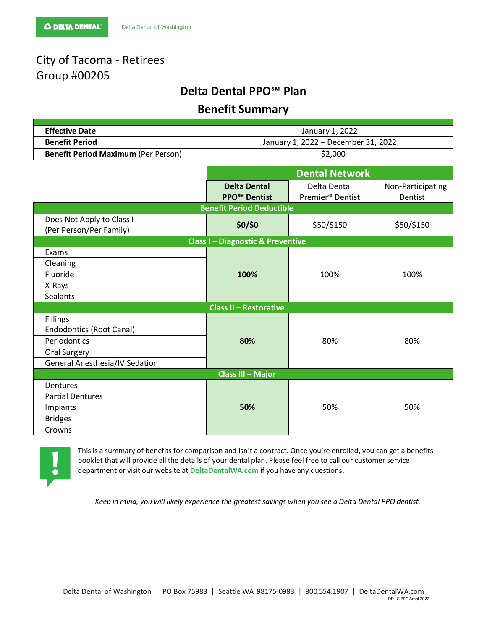# City of Tacoma - Retirees Group #00205

# **Delta Dental PPO℠ Plan**

## **Benefit Summary**

| <b>Effective Date</b>                      | January 1, 2022                     |  |  |
|--------------------------------------------|-------------------------------------|--|--|
| <b>Benefit Period</b>                      | January 1, 2022 – December 31, 2022 |  |  |
| <b>Benefit Period Maximum (Per Person)</b> | \$2,000                             |  |  |

|                                            | <b>Dental Network</b>           |                              |                   |  |
|--------------------------------------------|---------------------------------|------------------------------|-------------------|--|
|                                            | <b>Delta Dental</b>             | Delta Dental                 | Non-Participating |  |
|                                            | <b>PPO<sup>SM</sup></b> Dentist | Premier <sup>®</sup> Dentist | Dentist           |  |
| <b>Benefit Period Deductible</b>           |                                 |                              |                   |  |
| Does Not Apply to Class I                  | \$0/\$0                         | \$50/\$150                   | \$50/\$150        |  |
| (Per Person/Per Family)                    |                                 |                              |                   |  |
| <b>Class I-Diagnostic &amp; Preventive</b> |                                 |                              |                   |  |
| Exams                                      | 100%                            | 100%                         | 100%              |  |
| Cleaning                                   |                                 |                              |                   |  |
| Fluoride                                   |                                 |                              |                   |  |
| X-Rays                                     |                                 |                              |                   |  |
| Sealants                                   |                                 |                              |                   |  |
| <b>Class II - Restorative</b>              |                                 |                              |                   |  |
| <b>Fillings</b>                            |                                 | 80%                          | 80%               |  |
| <b>Endodontics (Root Canal)</b>            |                                 |                              |                   |  |
| Periodontics                               | 80%                             |                              |                   |  |
| Oral Surgery                               |                                 |                              |                   |  |
| General Anesthesia/IV Sedation             |                                 |                              |                   |  |
| <b>Class III - Major</b>                   |                                 |                              |                   |  |
| Dentures                                   | 50%                             | 50%                          | 50%               |  |
| <b>Partial Dentures</b>                    |                                 |                              |                   |  |
| Implants                                   |                                 |                              |                   |  |
| <b>Bridges</b>                             |                                 |                              |                   |  |
| Crowns                                     |                                 |                              |                   |  |



This is a summary of benefits for comparison and isn't a contract. Once you're enrolled, you can get a benefits booklet that will provide all the details of your dental plan. Please feel free to call our customer service department or visit our website at **DeltaDentalWA.com** if you have any questions.

*Keep in mind, you will likely experience the greatest savings when you see a Delta Dental PPO dentist.*